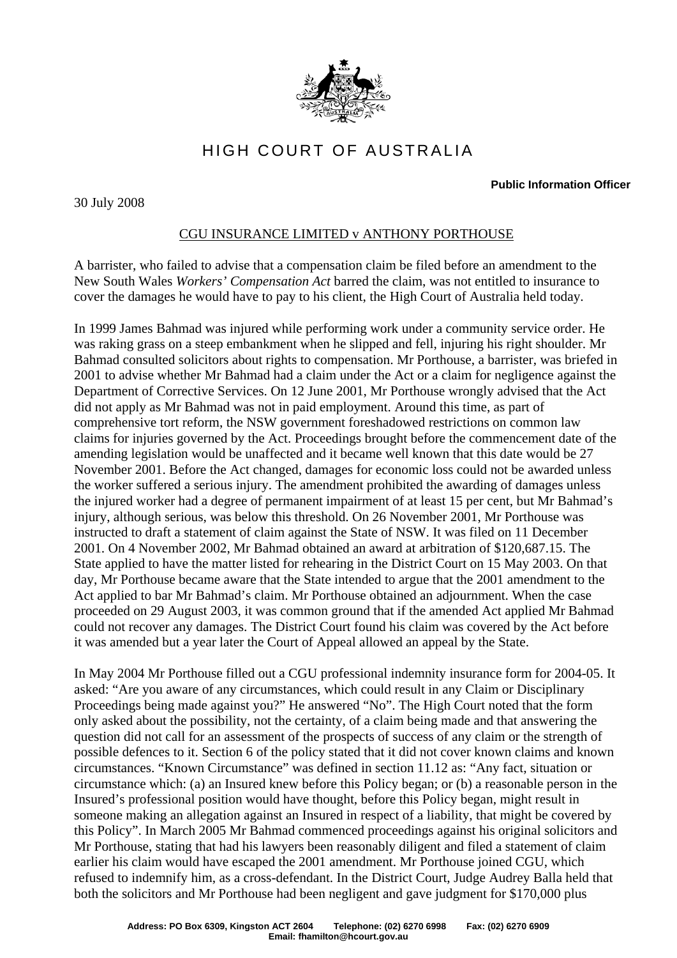

## HIGH COURT OF AUSTRALIA

## **Public Information Officer**

30 July 2008

## CGU INSURANCE LIMITED v ANTHONY PORTHOUSE

A barrister, who failed to advise that a compensation claim be filed before an amendment to the New South Wales *Workers' Compensation Act* barred the claim, was not entitled to insurance to cover the damages he would have to pay to his client, the High Court of Australia held today.

In 1999 James Bahmad was injured while performing work under a community service order. He was raking grass on a steep embankment when he slipped and fell, injuring his right shoulder. Mr Bahmad consulted solicitors about rights to compensation. Mr Porthouse, a barrister, was briefed in 2001 to advise whether Mr Bahmad had a claim under the Act or a claim for negligence against the Department of Corrective Services. On 12 June 2001, Mr Porthouse wrongly advised that the Act did not apply as Mr Bahmad was not in paid employment. Around this time, as part of comprehensive tort reform, the NSW government foreshadowed restrictions on common law claims for injuries governed by the Act. Proceedings brought before the commencement date of the amending legislation would be unaffected and it became well known that this date would be 27 November 2001. Before the Act changed, damages for economic loss could not be awarded unless the worker suffered a serious injury. The amendment prohibited the awarding of damages unless the injured worker had a degree of permanent impairment of at least 15 per cent, but Mr Bahmad's injury, although serious, was below this threshold. On 26 November 2001, Mr Porthouse was instructed to draft a statement of claim against the State of NSW. It was filed on 11 December 2001. On 4 November 2002, Mr Bahmad obtained an award at arbitration of \$120,687.15. The State applied to have the matter listed for rehearing in the District Court on 15 May 2003. On that day, Mr Porthouse became aware that the State intended to argue that the 2001 amendment to the Act applied to bar Mr Bahmad's claim. Mr Porthouse obtained an adjournment. When the case proceeded on 29 August 2003, it was common ground that if the amended Act applied Mr Bahmad could not recover any damages. The District Court found his claim was covered by the Act before it was amended but a year later the Court of Appeal allowed an appeal by the State.

In May 2004 Mr Porthouse filled out a CGU professional indemnity insurance form for 2004-05. It asked: "Are you aware of any circumstances, which could result in any Claim or Disciplinary Proceedings being made against you?" He answered "No". The High Court noted that the form only asked about the possibility, not the certainty, of a claim being made and that answering the question did not call for an assessment of the prospects of success of any claim or the strength of possible defences to it. Section 6 of the policy stated that it did not cover known claims and known circumstances. "Known Circumstance" was defined in section 11.12 as: "Any fact, situation or circumstance which: (a) an Insured knew before this Policy began; or (b) a reasonable person in the Insured's professional position would have thought, before this Policy began, might result in someone making an allegation against an Insured in respect of a liability, that might be covered by this Policy". In March 2005 Mr Bahmad commenced proceedings against his original solicitors and Mr Porthouse, stating that had his lawyers been reasonably diligent and filed a statement of claim earlier his claim would have escaped the 2001 amendment. Mr Porthouse joined CGU, which refused to indemnify him, as a cross-defendant. In the District Court, Judge Audrey Balla held that both the solicitors and Mr Porthouse had been negligent and gave judgment for \$170,000 plus